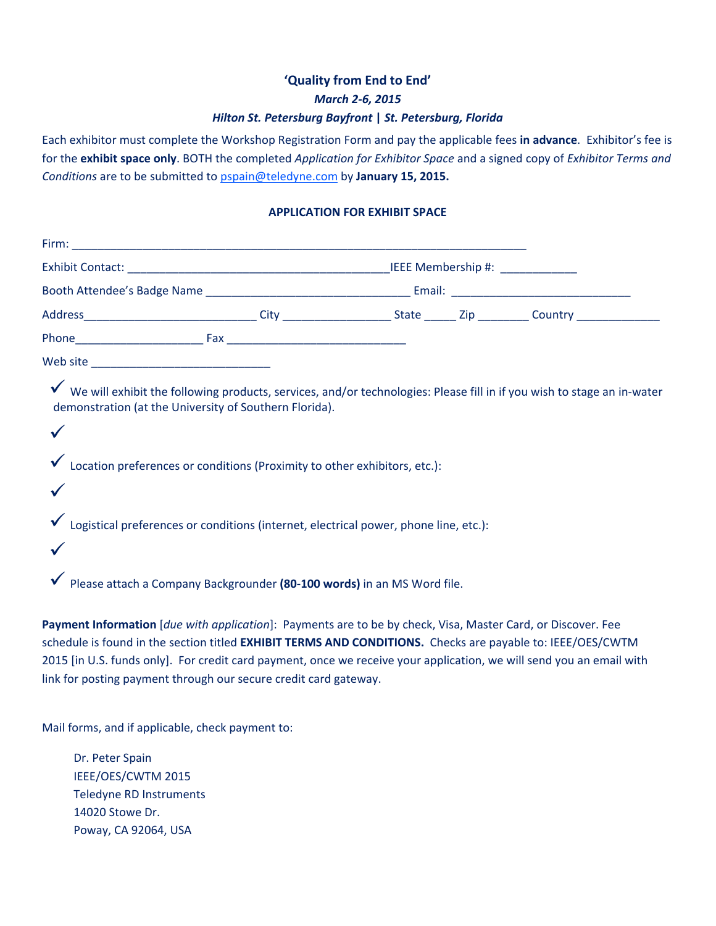# **'Quality from End to End'** *March 2‐6, 2015 Hilton St. Petersburg Bayfront* **|** *St. Petersburg, Florida*

Each exhibitor must complete the Workshop Registration Form and pay the applicable fees **in advance**. Exhibitor's fee is for the **exhibit space only**. BOTH the completed *Application for Exhibitor Space* and a signed copy of *Exhibitor Terms and Conditions* are to be submitted to pspain@teledyne.com by **January 15, 2015.**

### **APPLICATION FOR EXHIBIT SPACE**

| Address________________________________City ______________________State ________ Zip ___________Country ______________________ |                                                                                                                                                                                                                                                                                                        |  |                                                                                                                          |  |
|--------------------------------------------------------------------------------------------------------------------------------|--------------------------------------------------------------------------------------------------------------------------------------------------------------------------------------------------------------------------------------------------------------------------------------------------------|--|--------------------------------------------------------------------------------------------------------------------------|--|
|                                                                                                                                |                                                                                                                                                                                                                                                                                                        |  |                                                                                                                          |  |
|                                                                                                                                |                                                                                                                                                                                                                                                                                                        |  |                                                                                                                          |  |
|                                                                                                                                | demonstration (at the University of Southern Florida).<br>Location preferences or conditions (Proximity to other exhibitors, etc.):<br>Logistical preferences or conditions (internet, electrical power, phone line, etc.):<br>Please attach a Company Backgrounder (80-100 words) in an MS Word file. |  | √ We will exhibit the following products, services, and/or technologies: Please fill in if you wish to stage an in-water |  |

**Payment Information** [*due with application*]:Payments are to be by check, Visa, Master Card, or Discover. Fee schedule is found in the section titled **EXHIBIT TERMS AND CONDITIONS.** Checks are payable to: IEEE/OES/CWTM 2015 [in U.S. funds only]. For credit card payment, once we receive your application, we will send you an email with link for posting payment through our secure credit card gateway.

Mail forms, and if applicable, check payment to:

Dr. Peter Spain IEEE/OES/CWTM 2015 Teledyne RD Instruments 14020 Stowe Dr. Poway, CA 92064, USA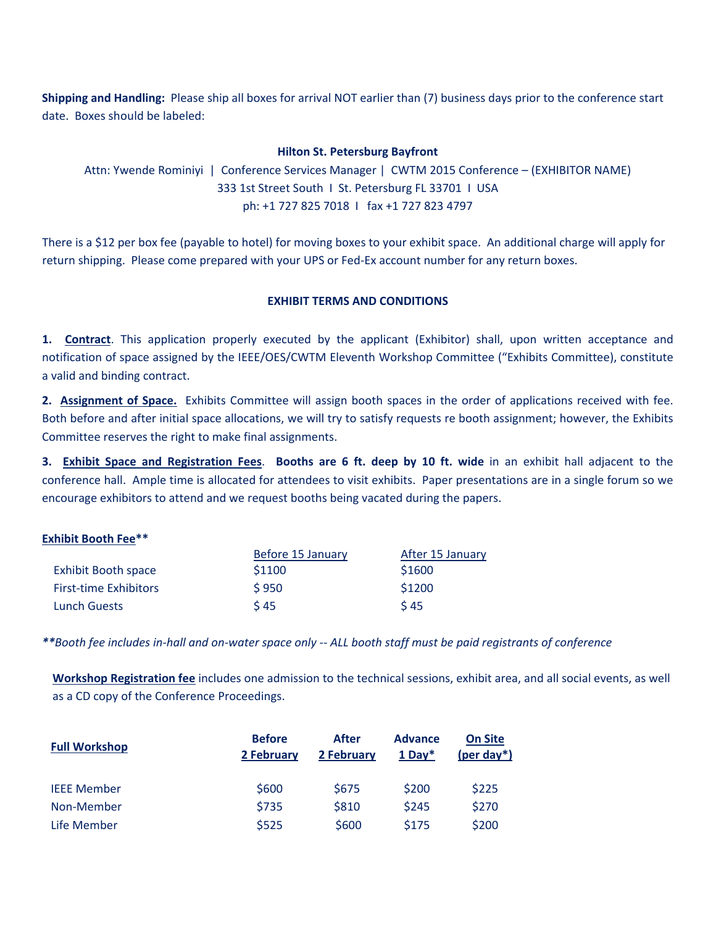**Shipping and Handling:** Please ship all boxes for arrival NOT earlier than (7) business days prior to the conference start date. Boxes should be labeled:

#### **Hilton St. Petersburg Bayfront**

Attn: Ywende Rominiyi | Conference Services Manager | CWTM 2015 Conference – (EXHIBITOR NAME) 333 1st Street South I St. Petersburg FL 33701 I USA ph: +1 727 825 7018 I fax +1 727 823 4797

There is a \$12 per box fee (payable to hotel) for moving boxes to your exhibit space. An additional charge will apply for return shipping. Please come prepared with your UPS or Fed-Ex account number for any return boxes.

## **EXHIBIT TERMS AND CONDITIONS**

**1. Contract**. This application properly executed by the applicant (Exhibitor) shall, upon written acceptance and notification of space assigned by the IEEE/OES/CWTM Eleventh Workshop Committee ("Exhibits Committee), constitute a valid and binding contract.

**2. Assignment of Space.** Exhibits Committee will assign booth spaces in the order of applications received with fee. Both before and after initial space allocations, we will try to satisfy requests re booth assignment; however, the Exhibits Committee reserves the right to make final assignments.

**3. Exhibit Space and Registration Fees**. **Booths are 6 ft. deep by 10 ft. wide** in an exhibit hall adjacent to the conference hall. Ample time is allocated for attendees to visit exhibits. Paper presentations are in a single forum so we encourage exhibitors to attend and we request booths being vacated during the papers.

#### **Exhibit Booth Fee\*\***

|                              | Before 15 January | After 15 January |  |
|------------------------------|-------------------|------------------|--|
| Exhibit Booth space          | \$1100            | \$1600           |  |
| <b>First-time Exhibitors</b> | \$950             | \$1200           |  |
| <b>Lunch Guests</b>          | \$45              | 545              |  |

\*\*Booth fee includes in-hall and on-water space only -- ALL booth staff must be paid registrants of conference

**Workshop Registration fee** includes one admission to the technical sessions, exhibit area, and all social events, as well as a CD copy of the Conference Proceedings.

| <b>Full Workshop</b> | <b>Before</b><br>2 February | After<br>2 February | <b>Advance</b><br>$1$ Dav <sup>*</sup> | <b>On Site</b><br>(per day <sup>*</sup> ) |
|----------------------|-----------------------------|---------------------|----------------------------------------|-------------------------------------------|
| <b>IEEE Member</b>   | \$600                       | \$675               | \$200                                  | \$225                                     |
| Non-Member           | \$735                       | \$810               | \$245                                  | \$270                                     |
| Life Member          | \$525                       | \$600               | \$175                                  | \$200                                     |